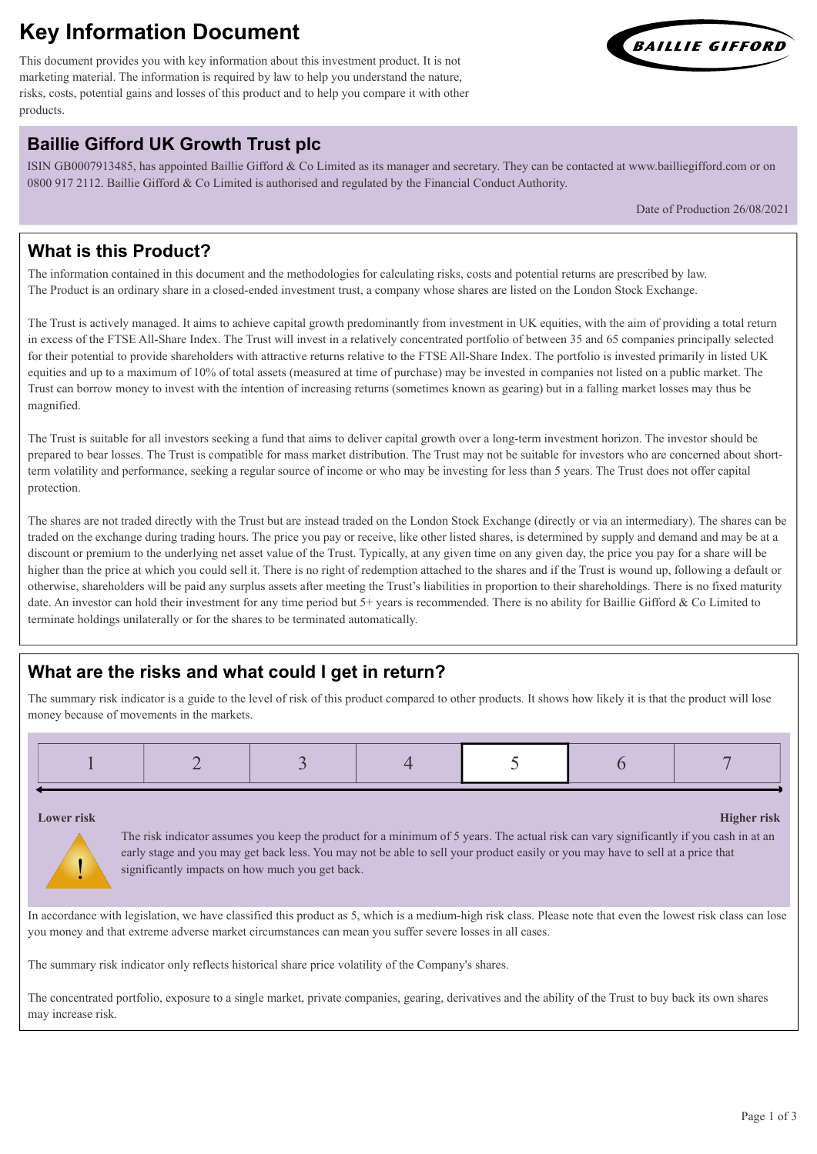# **Key Information Document**

This document provides you with key information about this investment product. It is not marketing material. The information is required by law to help you understand the nature, risks, costs, potential gains and losses of this product and to help you compare it with other products.

## **Baillie Gifford UK Growth Trust plc**

ISIN GB0007913485, has appointed Baillie Gifford & Co Limited as its manager and secretary. They can be contacted at www.bailliegifford.com or on 0800 917 2112. Baillie Gifford & Co Limited is authorised and regulated by the Financial Conduct Authority.

Date of Production 26/08/2021

## **What is this Product?**

The information contained in this document and the methodologies for calculating risks, costs and potential returns are prescribed by law. The Product is an ordinary share in a closed-ended investment trust, a company whose shares are listed on the London Stock Exchange.

The Trust is actively managed. It aims to achieve capital growth predominantly from investment in UK equities, with the aim of providing a total return in excess of the FTSE All-Share Index. The Trust will invest in a relatively concentrated portfolio of between 35 and 65 companies principally selected for their potential to provide shareholders with attractive returns relative to the FTSE All-Share Index. The portfolio is invested primarily in listed UK equities and up to a maximum of 10% of total assets (measured at time of purchase) may be invested in companies not listed on a public market. The Trust can borrow money to invest with the intention of increasing returns (sometimes known as gearing) but in a falling market losses may thus be magnified.

The Trust is suitable for all investors seeking a fund that aims to deliver capital growth over a long-term investment horizon. The investor should be prepared to bear losses. The Trust is compatible for mass market distribution. The Trust may not be suitable for investors who are concerned about shortterm volatility and performance, seeking a regular source of income or who may be investing for less than 5 years. The Trust does not offer capital protection.

The shares are not traded directly with the Trust but are instead traded on the London Stock Exchange (directly or via an intermediary). The shares can be traded on the exchange during trading hours. The price you pay or receive, like other listed shares, is determined by supply and demand and may be at a discount or premium to the underlying net asset value of the Trust. Typically, at any given time on any given day, the price you pay for a share will be higher than the price at which you could sell it. There is no right of redemption attached to the shares and if the Trust is wound up, following a default or otherwise, shareholders will be paid any surplus assets after meeting the Trust's liabilities in proportion to their shareholdings. There is no fixed maturity date. An investor can hold their investment for any time period but 5+ years is recommended. There is no ability for Baillie Gifford & Co Limited to terminate holdings unilaterally or for the shares to be terminated automatically.

## **What are the risks and what could I get in return?**

The summary risk indicator is a guide to the level of risk of this product compared to other products. It shows how likely it is that the product will lose money because of movements in the markets.

|--|--|

!

**Lower risk Higher risk**

The risk indicator assumes you keep the product for a minimum of 5 years. The actual risk can vary significantly if you cash in at an early stage and you may get back less. You may not be able to sell your product easily or you may have to sell at a price that significantly impacts on how much you get back.

In accordance with legislation, we have classified this product as 5, which is a medium-high risk class. Please note that even the lowest risk class can lose you money and that extreme adverse market circumstances can mean you suffer severe losses in all cases.

The summary risk indicator only reflects historical share price volatility of the Company's shares.

The concentrated portfolio, exposure to a single market, private companies, gearing, derivatives and the ability of the Trust to buy back its own shares may increase risk.

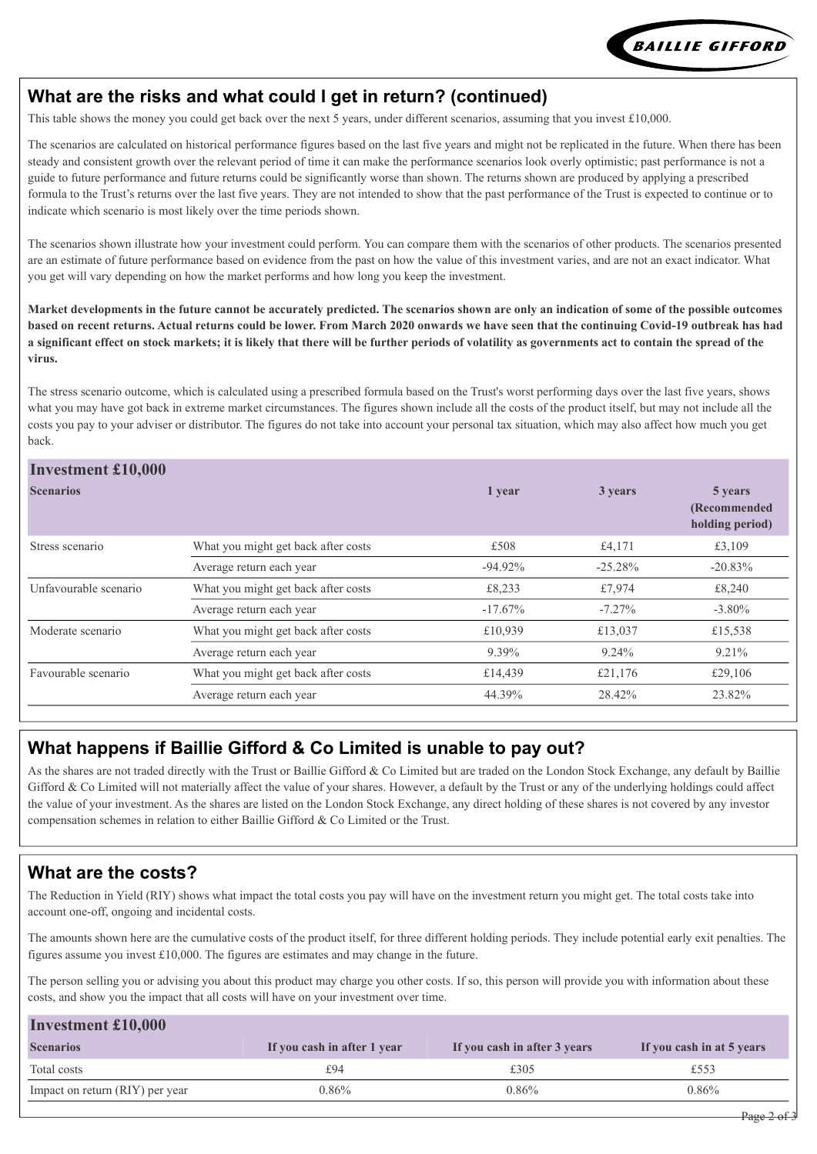

#### **What are the risks and what could I get in return? (continued)**

This table shows the money you could get back over the next 5 years, under different scenarios, assuming that you invest £10,000.

The scenarios are calculated on historical performance figures based on the last five years and might not be replicated in the future. When there has been steady and consistent growth over the relevant period of time it can make the performance scenarios look overly optimistic; past performance is not a guide to future performance and future returns could be significantly worse than shown. The returns shown are produced by applying a prescribed formula to the Trust's returns over the last five years. They are not intended to show that the past performance of the Trust is expected to continue or to indicate which scenario is most likely over the time periods shown.

The scenarios shown illustrate how your investment could perform. You can compare them with the scenarios of other products. The scenarios presented are an estimate of future performance based on evidence from the past on how the value of this investment varies, and are not an exact indicator. What you get will vary depending on how the market performs and how long you keep the investment.

**Market developments in the future cannot be accurately predicted. The scenarios shown are only an indication of some of the possible outcomes based on recent returns. Actual returns could be lower. From March 2020 onwards we have seen that the continuing Covid-19 outbreak has had a significant effect on stock markets; it is likely that there will be further periods of volatility as governments act to contain the spread of the virus.**

The stress scenario outcome, which is calculated using a prescribed formula based on the Trust's worst performing days over the last five years, shows what you may have got back in extreme market circumstances. The figures shown include all the costs of the product itself, but may not include all the costs you pay to your adviser or distributor. The figures do not take into account your personal tax situation, which may also affect how much you get back.

#### **Investment £10,000**

| THYCSUMCHU & LU,UUU   |                                     |            |           |                                             |
|-----------------------|-------------------------------------|------------|-----------|---------------------------------------------|
| <b>Scenarios</b>      |                                     | 1 year     | 3 years   | 5 years<br>(Recommended)<br>holding period) |
| Stress scenario       | What you might get back after costs | £508       | £4,171    | £3,109                                      |
|                       | Average return each year            | $-94.92\%$ | $-25.28%$ | $-20.83%$                                   |
| Unfavourable scenario | What you might get back after costs | £8,233     | £7,974    | £8,240                                      |
|                       | Average return each year            | $-17.67\%$ | $-7.27\%$ | $-3.80\%$                                   |
| Moderate scenario     | What you might get back after costs | £10,939    | £13,037   | £15,538                                     |
|                       | Average return each year            | 9.39%      | $9.24\%$  | 9.21%                                       |
| Favourable scenario   | What you might get back after costs | £14,439    | £21,176   | £29,106                                     |
|                       | Average return each year            | 44.39%     | 28.42%    | 23.82%                                      |
|                       |                                     |            |           |                                             |

#### **What happens if Baillie Gifford & Co Limited is unable to pay out?**

As the shares are not traded directly with the Trust or Baillie Gifford & Co Limited but are traded on the London Stock Exchange, any default by Baillie Gifford & Co Limited will not materially affect the value of your shares. However, a default by the Trust or any of the underlying holdings could affect the value of your investment. As the shares are listed on the London Stock Exchange, any direct holding of these shares is not covered by any investor compensation schemes in relation to either Baillie Gifford & Co Limited or the Trust.

#### **What are the costs?**

The Reduction in Yield (RIY) shows what impact the total costs you pay will have on the investment return you might get. The total costs take into account one-off, ongoing and incidental costs.

The amounts shown here are the cumulative costs of the product itself, for three different holding periods. They include potential early exit penalties. The figures assume you invest  $£10,000$ . The figures are estimates and may change in the future.

The person selling you or advising you about this product may charge you other costs. If so, this person will provide you with information about these costs, and show you the impact that all costs will have on your investment over time.

| <b>Investment £10,000</b>       |                             |                              |                           |  |  |  |  |  |
|---------------------------------|-----------------------------|------------------------------|---------------------------|--|--|--|--|--|
| <b>Scenarios</b>                | If you cash in after 1 year | If you cash in after 3 years | If you cash in at 5 years |  |  |  |  |  |
| Total costs                     | £94                         | £305                         | £553                      |  |  |  |  |  |
| Impact on return (RIY) per year | $0.86\%$                    | 0.86%                        | $0.86\%$                  |  |  |  |  |  |
|                                 |                             |                              |                           |  |  |  |  |  |